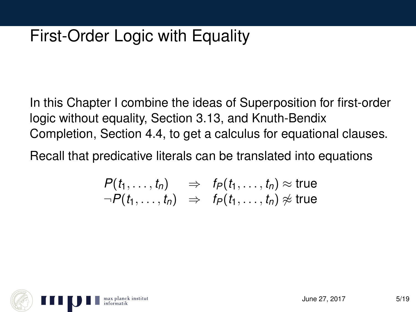# First-Order Logic with Equality

In this Chapter I combine the ideas of Superposition for first-order logic without equality, Section 3.13, and Knuth-Bendix Completion, Section 4.4, to get a calculus for equational clauses.

Recall that predicative literals can be translated into equations

$$
\begin{array}{lcl} P(t_1,\ldots,t_n) & \Rightarrow & f_P(t_1,\ldots,t_n) \approx \text{true} \\ \neg P(t_1,\ldots,t_n) & \Rightarrow & f_P(t_1,\ldots,t_n) \not\approx \text{true} \end{array}
$$

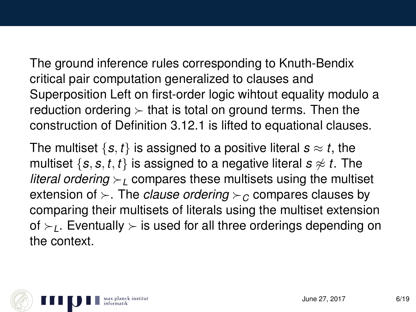The ground inference rules corresponding to Knuth-Bendix critical pair computation generalized to clauses and Superposition Left on first-order logic wihtout equality modulo a reduction ordering  $\succ$  that is total on ground terms. Then the construction of Definition 3.12.1 is lifted to equational clauses.

The multiset  $\{s, t\}$  is assigned to a positive literal  $s \approx t$ , the multiset  $\{s, s, t, t\}$  is assigned to a negative literal  $s \approx t$ . The *literal ordering*  $\geq$  compares these multisets using the multiset extension of  $\succ$ . The *clause ordering*  $\succ$  compares clauses by comparing their multisets of literals using the multiset extension of  $\succ_L$ . Eventually  $\succ$  is used for all three orderings depending on the context.

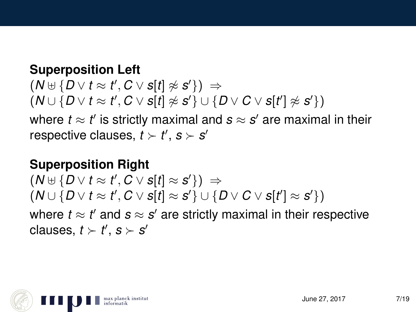#### **Superposition Left**

 $(N \uplus \{D \vee t \approx t', C \vee s[t] \not\approx s'\}) \Rightarrow$  $(N \cup \{D \lor t \approx t', C \lor s[t] \not\approx s'\} \cup \{D \lor C \lor s[t'] \not\approx s'\})$ 

where  $t \approx t'$  is strictly maximal and  $\bm{s} \approx \bm{s}'$  are maximal in their respective clauses,  $t \succ t'$ ,  $s \succ s'$ 

#### **Superposition Right**

 $(N \oplus \{D \vee t \approx t', C \vee s[t] \approx s'\}) \Rightarrow$  $(N \cup \{D \vee t \approx t', C \vee s[t] \approx s'\} \cup \{D \vee C \vee s[t'] \approx s'\})$ where  $t \approx t'$  and  $\boldsymbol{s} \approx \boldsymbol{s}'$  are strictly maximal in their respective clauses,  $t \succ t'$ ,  $s \succ s'$ 

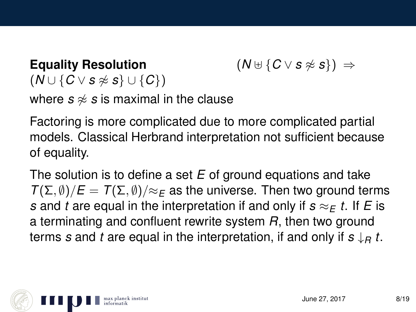## **Equality Resolution**  $(N \cup \{C \vee s \not\approx s\}) \Rightarrow$  $(N \cup \{C \vee s \not\approx s\} \cup \{C\})$ where  $s \approx s$  is maximal in the clause

Factoring is more complicated due to more complicated partial models. Classical Herbrand interpretation not sufficient because of equality.

The solution is to define a set *E* of ground equations and take  $T(\Sigma, \emptyset)/E = T(\Sigma, \emptyset)/\approx_F$  as the universe. Then two ground terms *s* and *t* are equal in the interpretation if and only if  $s \approx_E t$ . If *E* is a terminating and confluent rewrite system *R*, then two ground terms *s* and *t* are equal in the interpretation, if and only if *s* ↓*<sup>R</sup> t*.

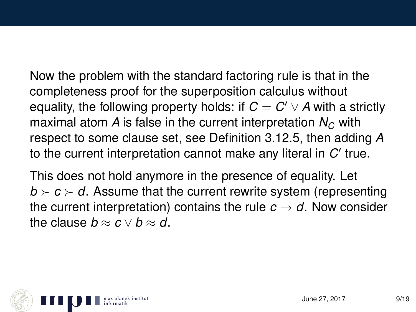Now the problem with the standard factoring rule is that in the completeness proof for the superposition calculus without equality, the following property holds: if  $C = C' \vee A$  with a strictly maximal atom *A* is false in the current interpretation  $N_c$  with respect to some clause set, see Definition 3.12.5, then adding *A* to the current interpretation cannot make any literal in  $C'$  true.

This does not hold anymore in the presence of equality. Let  $b \succ c \succ d$ . Assume that the current rewrite system (representing the current interpretation) contains the rule  $c \rightarrow d$ . Now consider the clause  $b \approx c \vee b \approx d$ .

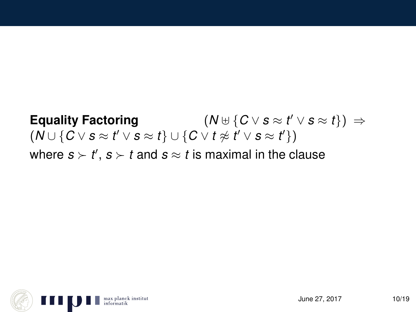# **Equality Factoring**  $(N \oplus \{ C \vee s \approx t' \vee s \approx t \}) \Rightarrow$  $(N \cup \{C \vee s \approx t' \vee s \approx t\} \cup \{C \vee t \not\approx t' \vee s \approx t'\})$ where  $s \succ t'$ ,  $s \succ t$  and  $s \approx t$  is maximal in the clause

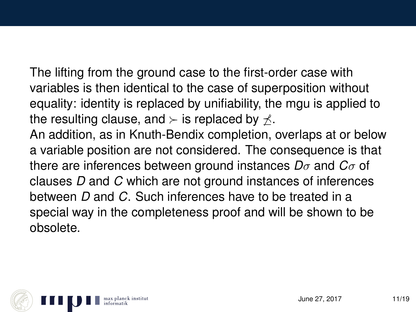The lifting from the ground case to the first-order case with variables is then identical to the case of superposition without equality: identity is replaced by unifiability, the mgu is applied to the resulting clause, and  $\succ$  is replaced by  $\prec$ .

An addition, as in Knuth-Bendix completion, overlaps at or below a variable position are not considered. The consequence is that there are inferences between ground instances *D*σ and *C*σ of clauses *D* and *C* which are not ground instances of inferences between *D* and *C*. Such inferences have to be treated in a special way in the completeness proof and will be shown to be obsolete.

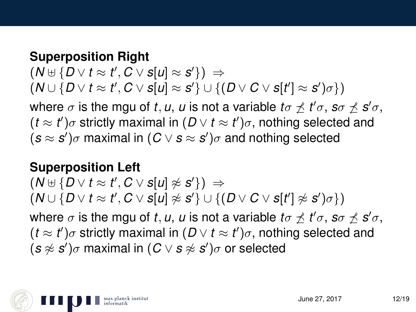#### **Superposition Right**

 $(N \uplus \{D \vee t \approx t', C \vee s[u] \approx s'\}) \Rightarrow$  $(W \cup \{D \lor t \approx t', C \lor s[u] \approx s'\} \cup \{(D \lor C \lor s[t'] \approx s')\sigma\})$ where  $\sigma$  is the mgu of *t*, *u*, *u* is not a variable  $t\sigma \npreceq t'\sigma$ , s $\sigma \npreceq s'\sigma$ ,  $(t \approx t')\sigma$  strictly maximal in  $(D \vee t \approx t')\sigma$ , nothing selected and

 $(s \approx s')\sigma$  maximal in  $(C \vee s \approx s')\sigma$  and nothing selected

#### **Superposition Left**

 $(N \uplus \{D \vee t \approx t', C \vee s[u] \not\approx s'\}) \Rightarrow$  $(N \cup \{D \vee t \approx t', C \vee s[u] \not\approx s'\} \cup \{(D \vee C \vee s[t'] \not\approx s')\sigma\})$ where  $\sigma$  is the mgu of *t*, *u*, *u* is not a variable  $t\sigma \npreceq t'\sigma$ ,  $s\sigma \npreceq s'\sigma$ ,  $(t \approx t')\sigma$  strictly maximal in  $(D \vee t \approx t')\sigma$ , nothing selected and  $(s \not\approx s')\sigma$  maximal in  $(C \vee s \not\approx s')\sigma$  or selected

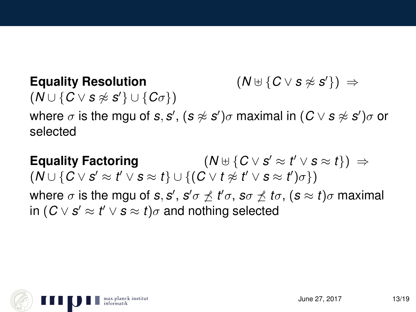**Equality Resolution** (*N* ] {*C* ∨ *s* 6≈ *s*  $(N \cup \{C \vee s \not\approx s'\}) \Rightarrow$  $(N \cup \{C \vee s \not\approx s'\} \cup \{C\sigma\})$ 

where  $\sigma$  is the mgu of *s*, *s'*, (*s*  $\napprox$  *s'*) $\sigma$  maximal in (*C*  $\vee$  *s*  $\napprox$  *s'*) $\sigma$  or selected

**Equality Factoring**  $v' \approx t' \vee s \approx t$ })  $\Rightarrow$  $(N \cup \{C \vee s' \approx t' \vee s \approx t\} \cup \{(C \vee t \not\approx t' \vee s \approx t')\sigma\})$ where  $\sigma$  is the mgu of *s*, *s'* , *s'*  $\sigma \not\preceq t' \sigma$  , *s* $\sigma \not\preceq t \sigma$  *, (s*  $\approx t) \sigma$  maximal  $\mathsf{in}~(C \vee \mathsf{s}' \approx t' \vee \mathsf{s} \approx t) \sigma$  and nothing selected

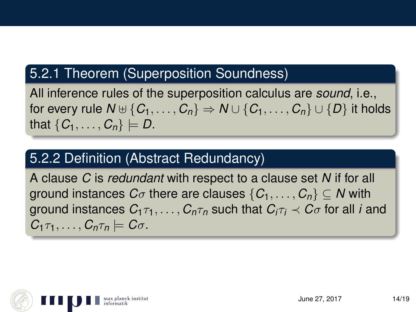### 5.2.1 Theorem (Superposition Soundness)

All inference rules of the superposition calculus are *sound*, i.e., for every rule  $N \oplus \{C_1, \ldots, C_n\} \Rightarrow N \cup \{C_1, \ldots, C_n\} \cup \{D\}$  it holds that  $\{C_1, \ldots, C_n\} \models D$ .

# 5.2.2 Definition (Abstract Redundancy)

A clause *C* is *redundant* with respect to a clause set *N* if for all ground instances  $C_{\sigma}$  there are clauses  $\{C_1, \ldots, C_n\} \subseteq N$  with ground instances  $C_1 \tau_1, \ldots, C_n \tau_n$  such that  $C_i \tau_i \prec C_i \sigma$  for all *i* and  $C_1 \tau_1, \ldots, C_n \tau_n \models C \sigma$ .

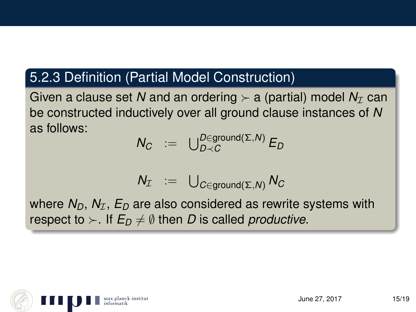### 5.2.3 Definition (Partial Model Construction)

Given a clause set N and an ordering  $\succ$  a (partial) model  $N_{\mathcal{I}}$  can be constructed inductively over all ground clause instances of *N* as follows:

$$
N_C \ := \ \bigcup_{D \prec C}^{D \in \mathsf{ground}(\Sigma, N)} E_D
$$

$$
N_{\mathcal{I}} \;\; := \;\; \bigcup_{C \in \mathsf{ground}(\Sigma, N)} N_C
$$

where  $N_D$ ,  $N_{\mathcal{I}}$ ,  $E_D$  are also considered as rewrite systems with respect to  $\succ$ . If  $E_D \neq \emptyset$  then *D* is called *productive*.